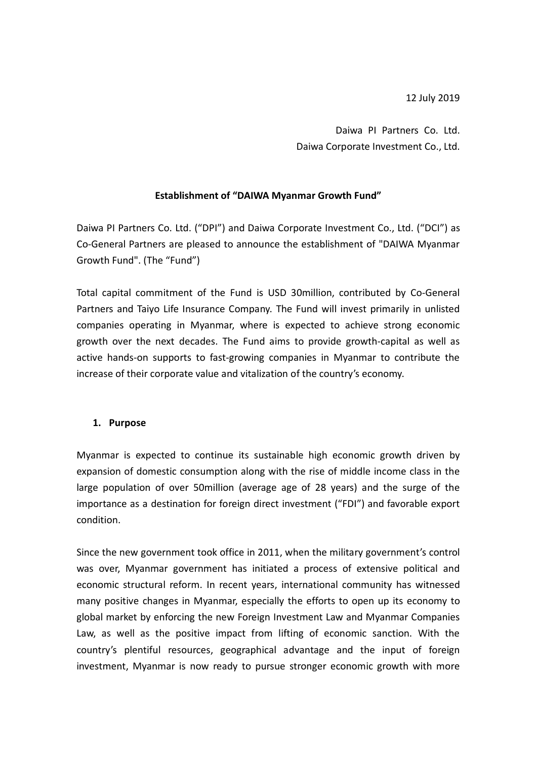12 July 2019

Daiwa PI Partners Co. Ltd. Daiwa Corporate Investment Co., Ltd.

### **Establishment of "DAIWA Myanmar Growth Fund"**

Daiwa PI Partners Co. Ltd. ("DPI") and Daiwa Corporate Investment Co., Ltd. ("DCI") as Co-General Partners are pleased to announce the establishment of "DAIWA Myanmar Growth Fund". (The "Fund")

Total capital commitment of the Fund is USD 30million, contributed by Co-General Partners and Taiyo Life Insurance Company. The Fund will invest primarily in unlisted companies operating in Myanmar, where is expected to achieve strong economic growth over the next decades. The Fund aims to provide growth-capital as well as active hands-on supports to fast-growing companies in Myanmar to contribute the increase of their corporate value and vitalization of the country's economy.

### **1. Purpose**

Myanmar is expected to continue its sustainable high economic growth driven by expansion of domestic consumption along with the rise of middle income class in the large population of over 50million (average age of 28 years) and the surge of the importance as a destination for foreign direct investment ("FDI") and favorable export condition.

Since the new government took office in 2011, when the military government's control was over, Myanmar government has initiated a process of extensive political and economic structural reform. In recent years, international community has witnessed many positive changes in Myanmar, especially the efforts to open up its economy to global market by enforcing the new Foreign Investment Law and Myanmar Companies Law, as well as the positive impact from lifting of economic sanction. With the country's plentiful resources, geographical advantage and the input of foreign investment, Myanmar is now ready to pursue stronger economic growth with more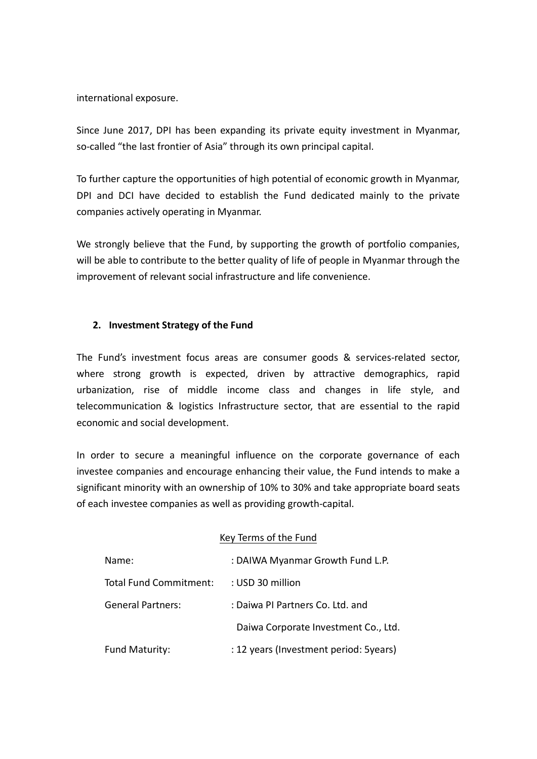international exposure.

Since June 2017, DPI has been expanding its private equity investment in Myanmar, so-called "the last frontier of Asia" through its own principal capital.

To further capture the opportunities of high potential of economic growth in Myanmar, DPI and DCI have decided to establish the Fund dedicated mainly to the private companies actively operating in Myanmar.

We strongly believe that the Fund, by supporting the growth of portfolio companies, will be able to contribute to the better quality of life of people in Myanmar through the improvement of relevant social infrastructure and life convenience.

# **2. Investment Strategy of the Fund**

The Fund's investment focus areas are consumer goods & services-related sector, where strong growth is expected, driven by attractive demographics, rapid urbanization, rise of middle income class and changes in life style, and telecommunication & logistics Infrastructure sector, that are essential to the rapid economic and social development.

In order to secure a meaningful influence on the corporate governance of each investee companies and encourage enhancing their value, the Fund intends to make a significant minority with an ownership of 10% to 30% and take appropriate board seats of each investee companies as well as providing growth-capital.

### Key Terms of the Fund

| Name:                    | : DAIWA Myanmar Growth Fund L.P.       |
|--------------------------|----------------------------------------|
| Total Fund Commitment:   | : USD 30 million                       |
| <b>General Partners:</b> | : Daiwa PI Partners Co. Ltd. and       |
|                          | Daiwa Corporate Investment Co., Ltd.   |
| <b>Fund Maturity:</b>    | : 12 years (Investment period: 5years) |